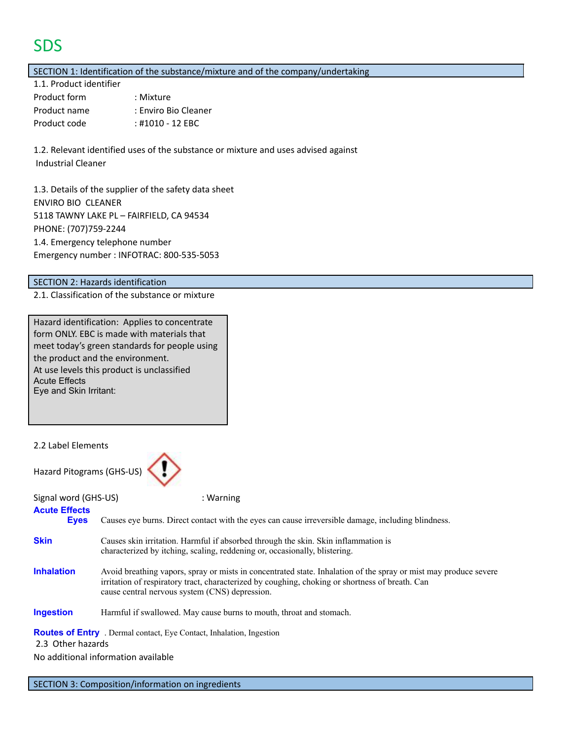# **SDS**

SECTION 1: Identification of the substance/mixture and of the company/undertaking

| 1.1. Product identifier |                      |
|-------------------------|----------------------|
| Product form            | : Mixture            |
| Product name            | : Enviro Bio Cleaner |
| Product code            | : #1010 - 12 EBC     |

1.2. Relevant identified uses of the substance or mixture and uses advised against Industrial Cleaner

1.3. Details of the supplier of the safety data sheet ENVIRO BIO CLEANER 5118 TAWNY LAKE PL – FAIRFIELD, CA 94534 PHONE: (707)759-2244 1.4. Emergency telephone number Emergency number : INFOTRAC: 800-535-5053

#### SECTION 2: Hazards identification

2.1. Classification of the substance or mixture

| Hazard identification: Applies to concentrate |
|-----------------------------------------------|
| form ONLY. EBC is made with materials that    |
| meet today's green standards for people using |
| the product and the environment.              |
| At use levels this product is unclassified    |
| <b>Acute Effects</b>                          |
| Eye and Skin Irritant:                        |

2.2 Label Elements



| Signal word (GHS-US)                                                                    | : Warning                                                                                                                                                                                                                                                             |  |
|-----------------------------------------------------------------------------------------|-----------------------------------------------------------------------------------------------------------------------------------------------------------------------------------------------------------------------------------------------------------------------|--|
| <b>Acute Effects</b><br><b>Eyes</b>                                                     | Causes eye burns. Direct contact with the eyes can cause irreversible damage, including blindness.                                                                                                                                                                    |  |
| <b>Skin</b>                                                                             | Causes skin irritation. Harmful if absorbed through the skin. Skin inflammation is<br>characterized by itching, scaling, reddening or, occasionally, blistering.                                                                                                      |  |
| <b>Inhalation</b>                                                                       | Avoid breathing vapors, spray or mists in concentrated state. Inhalation of the spray or mist may produce severe<br>irritation of respiratory tract, characterized by coughing, choking or shortness of breath. Can<br>cause central nervous system (CNS) depression. |  |
| <b>Ingestion</b><br>Harmful if swallowed. May cause burns to mouth, throat and stomach. |                                                                                                                                                                                                                                                                       |  |
| 2.3 Other hazards                                                                       | <b>Routes of Entry</b> . Dermal contact, Eye Contact, Inhalation, Ingestion                                                                                                                                                                                           |  |
|                                                                                         | No additional information available                                                                                                                                                                                                                                   |  |

SECTION 3: Composition/information on ingredients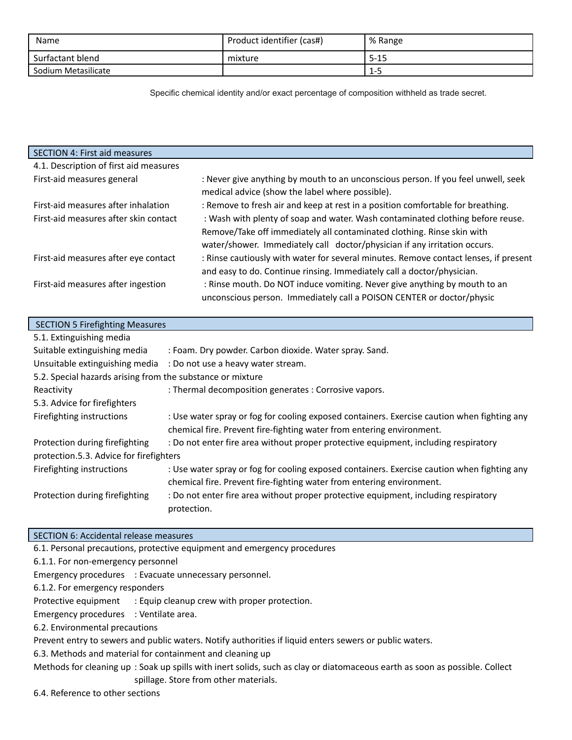| Name                | Product identifier (cas#) | % Range  |
|---------------------|---------------------------|----------|
| Surfactant blend    | mixture                   | $5 - 15$ |
| Sodium Metasilicate |                           | 1-5      |

Specific chemical identity and/or exact percentage of composition withheld as trade secret.

| <b>SECTION 4: First aid measures</b>   |                                                                                                                                                    |
|----------------------------------------|----------------------------------------------------------------------------------------------------------------------------------------------------|
| 4.1. Description of first aid measures |                                                                                                                                                    |
| First-aid measures general             | : Never give anything by mouth to an unconscious person. If you feel unwell, seek<br>medical advice (show the label where possible).               |
| First-aid measures after inhalation    | : Remove to fresh air and keep at rest in a position comfortable for breathing.                                                                    |
| First-aid measures after skin contact  | : Wash with plenty of soap and water. Wash contaminated clothing before reuse.                                                                     |
|                                        | Remove/Take off immediately all contaminated clothing. Rinse skin with                                                                             |
|                                        | water/shower. Immediately call doctor/physician if any irritation occurs.                                                                          |
| First-aid measures after eye contact   | : Rinse cautiously with water for several minutes. Remove contact lenses, if present                                                               |
|                                        | and easy to do. Continue rinsing. Immediately call a doctor/physician.                                                                             |
| First-aid measures after ingestion     | : Rinse mouth. Do NOT induce vomiting. Never give anything by mouth to an<br>unconscious person. Immediately call a POISON CENTER or doctor/physic |

| <b>SECTION 5 Firefighting Measures</b>                     |                                                                                                                                                                      |  |
|------------------------------------------------------------|----------------------------------------------------------------------------------------------------------------------------------------------------------------------|--|
| 5.1. Extinguishing media                                   |                                                                                                                                                                      |  |
| Suitable extinguishing media                               | : Foam. Dry powder. Carbon dioxide. Water spray. Sand.                                                                                                               |  |
|                                                            | Unsuitable extinguishing media : Do not use a heavy water stream.                                                                                                    |  |
| 5.2. Special hazards arising from the substance or mixture |                                                                                                                                                                      |  |
| Reactivity                                                 | : Thermal decomposition generates : Corrosive vapors.                                                                                                                |  |
| 5.3. Advice for firefighters                               |                                                                                                                                                                      |  |
| Firefighting instructions                                  | : Use water spray or fog for cooling exposed containers. Exercise caution when fighting any<br>chemical fire. Prevent fire-fighting water from entering environment. |  |
| Protection during firefighting                             | : Do not enter fire area without proper protective equipment, including respiratory                                                                                  |  |
| protection.5.3. Advice for firefighters                    |                                                                                                                                                                      |  |
| Firefighting instructions                                  | : Use water spray or fog for cooling exposed containers. Exercise caution when fighting any<br>chemical fire. Prevent fire-fighting water from entering environment. |  |
| Protection during firefighting                             | : Do not enter fire area without proper protective equipment, including respiratory<br>protection.                                                                   |  |

#### SECTION 6: Accidental release measures

6.1. Personal precautions, protective equipment and emergency procedures 6.1.1. For non-emergency personnel

Emergency procedures : Evacuate unnecessary personnel.

6.1.2. For emergency responders

Protective equipment : Equip cleanup crew with proper protection.

Emergency procedures : Ventilate area.

6.2. Environmental precautions

Prevent entry to sewers and public waters. Notify authorities if liquid enters sewers or public waters.

6.3. Methods and material for containment and cleaning up

Methods for cleaning up : Soak up spills with inert solids, such as clay or diatomaceous earth as soon as possible. Collect spillage. Store from other materials.

6.4. Reference to other sections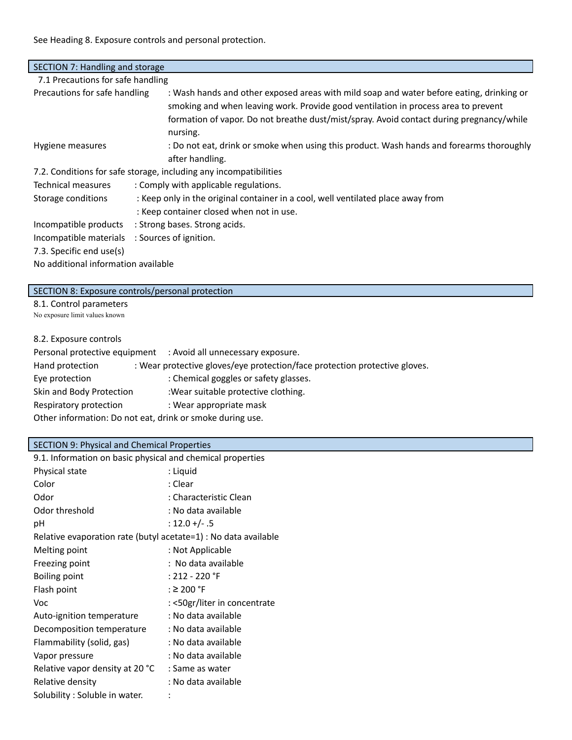See Heading 8. Exposure controls and personal protection.

| SECTION 7: Handling and storage                  |                                                                                                                                                                                                                                                                                        |  |
|--------------------------------------------------|----------------------------------------------------------------------------------------------------------------------------------------------------------------------------------------------------------------------------------------------------------------------------------------|--|
| 7.1 Precautions for safe handling                |                                                                                                                                                                                                                                                                                        |  |
| Precautions for safe handling                    | : Wash hands and other exposed areas with mild soap and water before eating, drinking or<br>smoking and when leaving work. Provide good ventilation in process area to prevent<br>formation of vapor. Do not breathe dust/mist/spray. Avoid contact during pregnancy/while<br>nursing. |  |
| Hygiene measures                                 | : Do not eat, drink or smoke when using this product. Wash hands and forearms thoroughly<br>after handling.                                                                                                                                                                            |  |
|                                                  | 7.2. Conditions for safe storage, including any incompatibilities                                                                                                                                                                                                                      |  |
| Technical measures                               | : Comply with applicable regulations.                                                                                                                                                                                                                                                  |  |
| Storage conditions                               | : Keep only in the original container in a cool, well ventilated place away from                                                                                                                                                                                                       |  |
| : Keep container closed when not in use.         |                                                                                                                                                                                                                                                                                        |  |
| Incompatible products                            | : Strong bases. Strong acids.                                                                                                                                                                                                                                                          |  |
| Incompatible materials<br>: Sources of ignition. |                                                                                                                                                                                                                                                                                        |  |
| 7.3. Specific end use(s)                         |                                                                                                                                                                                                                                                                                        |  |
| No additional information available              |                                                                                                                                                                                                                                                                                        |  |

| SECTION 8: Exposure controls/personal protection |
|--------------------------------------------------|
| 8.1. Control parameters                          |
| No exposure limit values known                   |

# 8.2. Exposure controls

|                                                           | Personal protective equipment : Avoid all unnecessary exposure.            |  |
|-----------------------------------------------------------|----------------------------------------------------------------------------|--|
| Hand protection                                           | : Wear protective gloves/eye protection/face protection protective gloves. |  |
| Eye protection                                            | : Chemical goggles or safety glasses.                                      |  |
| Skin and Body Protection                                  | :Wear suitable protective clothing.                                        |  |
| Respiratory protection                                    | : Wear appropriate mask                                                    |  |
| Other information: Do not eat, drink or smoke during use. |                                                                            |  |

# SECTION 9: Physical and Chemical Properties

| 9.1. Information on basic physical and chemical properties      |                              |
|-----------------------------------------------------------------|------------------------------|
| Physical state                                                  | : Liquid                     |
| Color                                                           | : Clear                      |
| Odor                                                            | : Characteristic Clean       |
| Odor threshold                                                  | : No data available          |
| рH                                                              | $: 12.0 +/- .5$              |
| Relative evaporation rate (butyl acetate=1) : No data available |                              |
| Melting point                                                   | : Not Applicable             |
| Freezing point                                                  | : No data available          |
| <b>Boiling point</b>                                            | $: 212 - 220$ °F             |
| Flash point                                                     | : $\geq$ 200 °F              |
| Voc                                                             | : <50gr/liter in concentrate |
| Auto-ignition temperature                                       | : No data available          |
| Decomposition temperature                                       | : No data available          |
| Flammability (solid, gas)                                       | : No data available          |
| Vapor pressure                                                  | : No data available          |
| Relative vapor density at 20 °C                                 | : Same as water              |
| Relative density                                                | : No data available          |
| Solubility: Soluble in water.                                   |                              |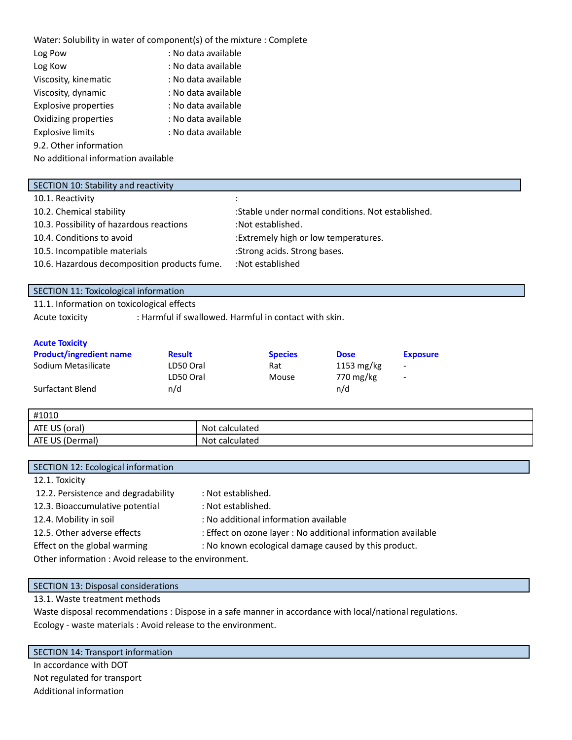| Water: Solubility in water of component(s) of the mixture : Complete |                     |  |
|----------------------------------------------------------------------|---------------------|--|
| Log Pow                                                              | : No data available |  |
| Log Kow                                                              | : No data available |  |
| Viscosity, kinematic                                                 | : No data available |  |
| Viscosity, dynamic                                                   | : No data available |  |
| <b>Explosive properties</b>                                          | : No data available |  |
| Oxidizing properties                                                 | : No data available |  |
| <b>Explosive limits</b>                                              | : No data available |  |
| 9.2. Other information                                               |                     |  |
| No additional information available                                  |                     |  |

#### SECTION 10: Stability and reactivity

| 10.1. Reactivity                             |                                                   |
|----------------------------------------------|---------------------------------------------------|
| 10.2. Chemical stability                     | :Stable under normal conditions. Not established. |
| 10.3. Possibility of hazardous reactions     | :Not established.                                 |
| 10.4. Conditions to avoid                    | :Extremely high or low temperatures.              |
| 10.5. Incompatible materials                 | :Strong acids. Strong bases.                      |
| 10.6. Hazardous decomposition products fume. | :Not established                                  |

## SECTION 11: Toxicological information

11.1. Information on toxicological effects

Acute toxicity : Harmful if swallowed. Harmful in contact with skin.

#### **Acute Toxicity**

| <b>Product/ingredient name</b> | <b>Result</b> | <b>Species</b> | <b>Dose</b>          | <b>Exposure</b>          |
|--------------------------------|---------------|----------------|----------------------|--------------------------|
| Sodium Metasilicate            | LD50 Oral     | Rat            | $1153 \text{ mg/kg}$ | $\overline{\phantom{a}}$ |
|                                | LD50 Oral     | Mouse          | 770 mg/kg            | $\overline{\phantom{a}}$ |
| Surfactant Blend               | n/d           |                | n/d                  |                          |

| #1010                                |                                       |
|--------------------------------------|---------------------------------------|
| ATE<br>$\overline{1}$<br>(oral<br>სა | <b>Not</b><br><sup>-</sup> calculated |
| <b>ATE</b><br>US.<br>(Dermal)        | Not calculated                        |

| SECTION 12: Ecological information                   |                                                               |  |
|------------------------------------------------------|---------------------------------------------------------------|--|
| 12.1. Toxicity                                       |                                                               |  |
| 12.2. Persistence and degradability                  | : Not established.                                            |  |
| 12.3. Bioaccumulative potential                      | : Not established.                                            |  |
| 12.4. Mobility in soil                               | : No additional information available                         |  |
| 12.5. Other adverse effects                          | : Effect on ozone layer : No additional information available |  |
| Effect on the global warming                         | : No known ecological damage caused by this product.          |  |
| Other information: Avoid release to the environment. |                                                               |  |

# SECTION 13: Disposal considerations

## 13.1. Waste treatment methods

Waste disposal recommendations : Dispose in a safe manner in accordance with local/national regulations. Ecology - waste materials : Avoid release to the environment.

#### SECTION 14: Transport information

In accordance with DOT Not regulated for transport Additional information